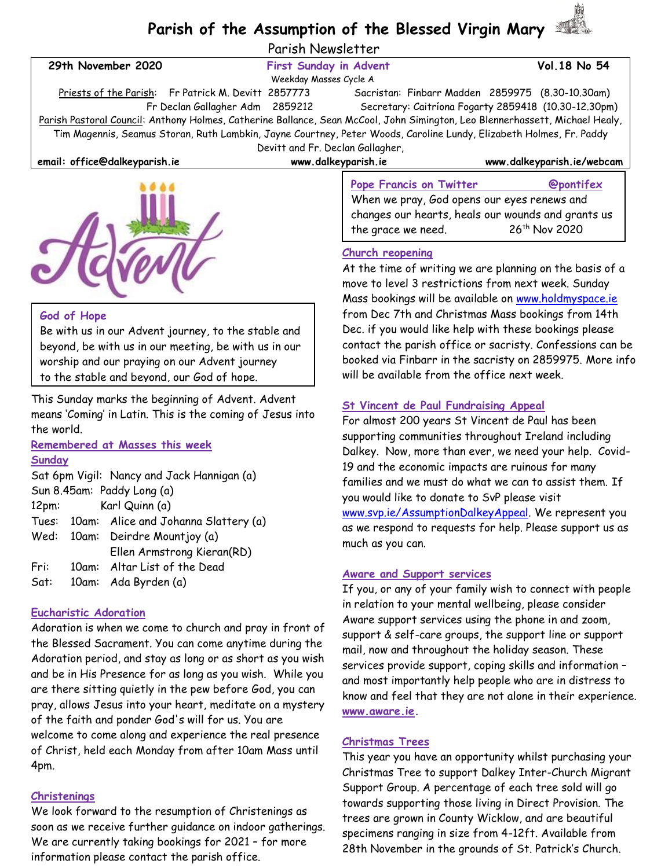# **Parish of the Assumption of the Blessed Virgin Mary**

Parish Newsletter

| 29th November 2020                                                                                                           | <b>First Sunday in Advent</b>                                                                                       | Vol. 18 No 54                                                                                                                                      |
|------------------------------------------------------------------------------------------------------------------------------|---------------------------------------------------------------------------------------------------------------------|----------------------------------------------------------------------------------------------------------------------------------------------------|
| Weekday Masses Cycle A                                                                                                       |                                                                                                                     |                                                                                                                                                    |
| Priests of the Parish: Fr Patrick M. Devitt 2857773                                                                          |                                                                                                                     | Sacristan: Finbarr Madden 2859975 (8.30-10.30am)                                                                                                   |
| Fr Declan Gallagher Adm 2859212                                                                                              |                                                                                                                     | Secretary: Caitríona Fogarty 2859418 (10.30-12.30pm)                                                                                               |
| Parish Pastoral Council: Anthony Holmes, Catherine Ballance, Sean McCool, John Simington, Leo Blennerhassett, Michael Healy, |                                                                                                                     |                                                                                                                                                    |
|                                                                                                                              | Tim Magennis, Seamus Storan, Ruth Lambkin, Jayne Courtney, Peter Woods, Caroline Lundy, Elizabeth Holmes, Fr. Paddy |                                                                                                                                                    |
| Devitt and Fr. Declan Gallagher,                                                                                             |                                                                                                                     |                                                                                                                                                    |
| email: office@dalkeyparish.ie                                                                                                | www.dalkeyparish.ie                                                                                                 | www.dalkeyparish.ie/webcam                                                                                                                         |
|                                                                                                                              | <b>Pope Francis on Twitter</b><br>the grace we need.                                                                | <b>@pontifex</b><br>When we pray, God opens our eyes renews and<br>changes our hearts, heals our wounds and grants us<br>26 <sup>th</sup> Nov 2020 |
|                                                                                                                              | <b>Church reopening</b>                                                                                             | At the time of writing we are planning on the basis of a                                                                                           |

## move to level 3 restrictions from next week. Sunday Mass bookings will be available on [www.holdmyspace.ie](http://www.holdmyspace.ie/) from Dec 7th and Christmas Mass bookings from 14th Dec. if you would like help with these bookings please contact the parish office or sacristy. Confessions can be booked via Finbarr in the sacristy on 2859975. More info will be available from the office next week.

#### **St Vincent de Paul Fundraising Appeal**

For almost 200 years St Vincent de Paul has been supporting communities throughout Ireland including Dalkey. Now, more than ever, we need your help. Covid-19 and the economic impacts are ruinous for many families and we must do what we can to assist them. If you would like to donate to SvP please visit [www.svp.ie/AssumptionDalkeyAppeal.](http://www.svp.ie/AssumptionDalkeyAppeal) We represent you as we respond to requests for help. Please support us as much as you can.

#### **Aware and Support services**

If you, or any of your family wish to connect with people in relation to your mental wellbeing, please consider Aware support services using the phone in and zoom, support & self-care groups, the support line or support mail, now and throughout the holiday season. These services provide support, coping skills and information – and most importantly help people who are in distress to know and feel that they are not alone in their experience. **[www.aware.ie.](http://www.aware.ie/)**

## **Christmas Trees**

This year you have an opportunity whilst purchasing your Christmas Tree to support Dalkey Inter-Church Migrant Support Group. A percentage of each tree sold will go towards supporting those living in Direct Provision. The trees are grown in County Wicklow, and are beautiful specimens ranging in size from 4-12ft. Available from 28th November in the grounds of St. Patrick's Church.

## **God of Hope**

Be with us in our Advent journey, to the stable and beyond, be with us in our meeting, be with us in our worship and our praying on our Advent journey to the stable and beyond, our God of hope.

This Sunday marks the beginning of Advent. Advent means 'Coming' in Latin. This is the coming of Jesus into the world.

**Remembered at Masses this week**

**C** Grever

## **Sunday**

Sat 6pm Vigil: Nancy and Jack Hannigan (a) Sun 8.45am: Paddy Long (a) 12pm: Karl Quinn (a) Tues: 10am: Alice and Johanna Slattery (a) Wed: 10am: Deirdre Mountjoy (a) Ellen Armstrong Kieran(RD) Fri: 10am: Altar List of the Dead Sat: 10am: Ada Byrden (a)

## **Eucharistic Adoration**

Adoration is when we come to church and pray in front of the Blessed Sacrament. You can come anytime during the Adoration period, and stay as long or as short as you wish and be in His Presence for as long as you wish. While you are there sitting quietly in the pew before God, you can pray, allows Jesus into your heart, meditate on a mystery of the faith and ponder God's will for us. You are welcome to come along and experience the real presence of Christ, held each Monday from after 10am Mass until 4pm.

## **Christenings**

We look forward to the resumption of Christenings as soon as we receive further guidance on indoor gatherings. We are currently taking bookings for 2021 – for more information please contact the parish office.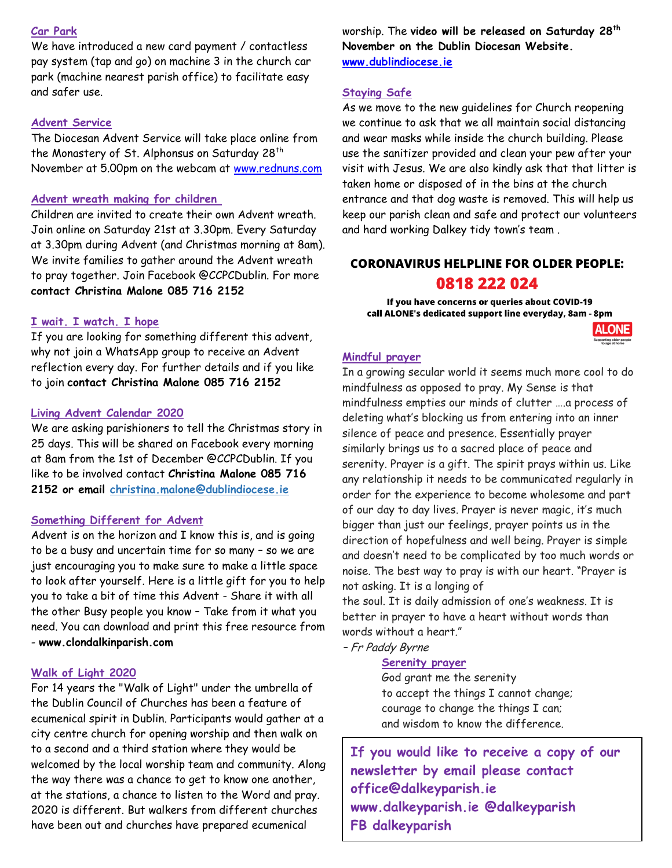#### **Car Park**

We have introduced a new card payment / contactless pay system (tap and go) on machine 3 in the church car park (machine nearest parish office) to facilitate easy and safer use.

#### **Advent Service**

The Diocesan Advent Service will take place online from the Monastery of St. Alphonsus on Saturday 28<sup>th</sup> November at 5.00pm on the webcam at [www.rednuns.com](http://www.rednuns.com/)

#### **Advent wreath making for children**

Children are invited to create their own Advent wreath. Join online on Saturday 21st at 3.30pm. Every Saturday at 3.30pm during Advent (and Christmas morning at 8am). We invite families to gather around the Advent wreath to pray together. Join Facebook @CCPCDublin. For more **contact Christina Malone 085 716 2152**

#### **I wait. I watch. I hope**

If you are looking for something different this advent, why not join a WhatsApp group to receive an Advent reflection every day. For further details and if you like to join **contact Christina Malone 085 716 2152** 

#### **Living Advent Calendar 2020**

We are asking parishioners to tell the Christmas story in 25 days. This will be shared on Facebook every morning at 8am from the 1st of December @CCPCDublin. If you like to be involved contact **Christina Malone 085 716 2152 or email [christina.malone@dublindiocese.ie](mailto:christina.malone@dublindiocese.ie)**

#### **Something Different for Advent**

Advent is on the horizon and I know this is, and is going to be a busy and uncertain time for so many – so we are just encouraging you to make sure to make a little space to look after yourself. Here is a little gift for you to help you to take a bit of time this Advent - Share it with all the other Busy people you know – Take from it what you need. You can download and print this free resource from - **www.clondalkinparish.com**

#### **Walk of Light 2020**

For 14 years the "Walk of Light" under the umbrella of the Dublin Council of Churches has been a feature of ecumenical spirit in Dublin. Participants would gather at a city centre church for opening worship and then walk on to a second and a third station where they would be welcomed by the local worship team and community. Along the way there was a chance to get to know one another, at the stations, a chance to listen to the Word and pray. 2020 is different. But walkers from different churches have been out and churches have prepared ecumenical

worship. The **video will be released on Saturday 28th November on the Dublin Diocesan Website. [www.dublindiocese.ie](http://www.dublindiocese.ie/)**

#### **Staying Safe**

As we move to the new guidelines for Church reopening we continue to ask that we all maintain social distancing and wear masks while inside the church building. Please use the sanitizer provided and clean your pew after your visit with Jesus. We are also kindly ask that that litter is taken home or disposed of in the bins at the church entrance and that dog waste is removed. This will help us keep our parish clean and safe and protect our volunteers and hard working Dalkey tidy town's team .

## **CORONAVIRUS HELPLINE FOR OLDER PEOPLE:** 0818 222 024

If you have concerns or queries about COVID-19 call ALONE's dedicated support line everyday, 8am - 8pm



#### **Mindful prayer**

In a growing secular world it seems much more cool to do mindfulness as opposed to pray. My Sense is that mindfulness empties our minds of clutter ….a process of deleting what's blocking us from entering into an inner silence of peace and presence. Essentially prayer similarly brings us to a sacred place of peace and serenity. Prayer is a gift. The spirit prays within us. Like any relationship it needs to be communicated regularly in order for the experience to become wholesome and part of our day to day lives. Prayer is never magic, it's much bigger than just our feelings, prayer points us in the direction of hopefulness and well being. Prayer is simple and doesn't need to be complicated by too much words or noise. The best way to pray is with our heart. "Prayer is not asking. It is a longing of

the soul. It is daily admission of one's weakness. It is better in prayer to have a heart without words than words without a heart."

– Fr Paddy Byrne

### **Serenity prayer**

God grant me the serenity to accept the things I cannot change; courage to change the things I can; and wisdom to know the difference.

**If you would like to receive a copy of our newsletter by email please contact office@dalkeyparish.ie [www.dalkeyparish.ie](http://www.dalkeyparish.ie/) @dalkeyparish FB dalkeyparish**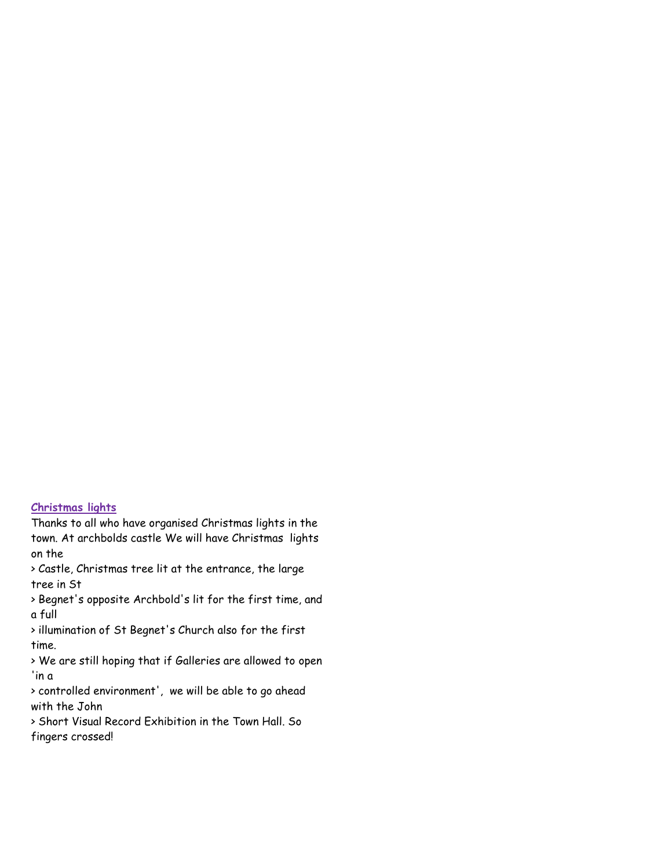## **Christmas lights**

Thanks to all who have organised Christmas lights in the town. At archbolds castle We will have Christmas lights on the

> Castle, Christmas tree lit at the entrance, the large tree in St

> Begnet's opposite Archbold's lit for the first time, and a full

> illumination of St Begnet's Church also for the first time.

> We are still hoping that if Galleries are allowed to open 'in a

> controlled environment', we will be able to go ahead with the John

> Short Visual Record Exhibition in the Town Hall. So fingers crossed!